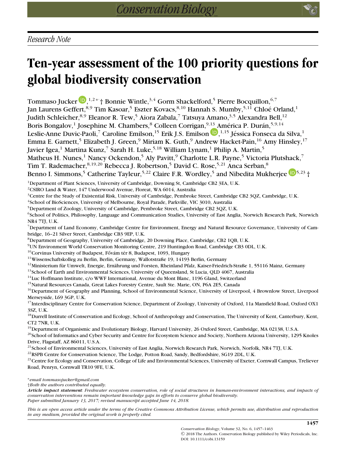# **Ten-year assessment of the 100 priority questions for global biodiversity conservation**

Tommaso Jucker D[,](http://orcid.org/0000-0002-0751-6312)<sup>1,2∗</sup>'† Bonnie Wintle,<sup>3,4</sup> Gorm Shackelford,<sup>5</sup> Pierre Bocquillon,<sup>6,7</sup> Jan Laurens Geffert, 8,9 Tim Kasoar,<sup>5</sup> Eszter Kovacs, 8,10 Hannah S. Mumby, <sup>5,11</sup> Chloé Orland,<sup>1</sup> Judith Schleicher, 8,9 Eleanor R. Tew,<sup>5</sup> Aiora Zabala,<sup>7</sup> Tatsuya Amano, 3,5 Alexandra Bell, <sup>12</sup> Boris Bongalov,<sup>1</sup> Josephine M. Chambers, <sup>8</sup> Colleen Corrigan, <sup>9,13</sup> América P. Durán, <sup>5,9,14</sup> Leslie-Anne Duvic-Paoli, $^7$  Caroline Emilson, $^{15}$  Erik J.S. Emilson  $\mathbf{D}$ , $^{1,15}$  Jéssica Fonseca da Silva, $^1$ Emma E. Garnett,<sup>5</sup> Elizabeth J. Green,<sup>9</sup> Miriam K. Guth,<sup>9</sup> Andrew Hacket-Pain,<sup>16</sup> Amy Hinsley,<sup>17</sup> Javier Igea,<sup>1</sup> Martina Kunz,<sup>7</sup> Sarah H. Luke,<sup>5,18</sup> William Lynam,<sup>1</sup> Philip A. Martin,<sup>5</sup> Matheus H. Nunes,<sup>1</sup> Nancy Ockendon,<sup>5</sup> Aly Pavitt,<sup>9</sup> Charlotte L.R. Payne,<sup>5</sup> Victoria Plutshack,<sup>7</sup> Tim T. Rademacher, $^{8,19,20}$  Rebecca J. Robertson, $^5$  David C. Rose, $^{5,21}$  Anca Serban, $^8$ Benno I. Simmons,<sup>[5](http://orcid.org/0000-0002-2970-1498)</sup> Catherine Tayleur,<sup>5,22</sup> Claire F.R. Wordley,<sup>5</sup> and Nibedita Mukherjee  $\mathbb{D}^{5,23}$  † <sup>1</sup>Department of Plant Sciences, University of Cambridge, Downing St, Cambridge CB2 3EA, U.K. 2CSIRO Land & Water, 147 Underwood Avenue, Floreat, WA 6014, Australia <sup>3</sup>Centre for the Study of Existential Risk, University of Cambridge, Pembroke Street, Cambridge CB2 3QZ, Cambridge, U.K.

4School of BioSciences, University of Melbourne, Royal Parade, Parkville, VIC 3010, Australia

5Department of Zoology, University of Cambridge, Pembroke Street, Cambridge CB2 3QZ, U.K.

<sup>6</sup>School of Politics, Philosophy, Language and Communication Studies, University of East Anglia, Norwich Research Park, Norwich NR4 7TJ, U.K.

7Department of Land Economy, Cambridge Centre for Environment, Energy and Natural Resource Governance, University of Cambridge, 16–21 Silver Street, Cambridge CB3 9EP, U.K.

8Department of Geography, University of Cambridge, 20 Downing Place, Cambridge, CB2 1QB, U.K.

9UN Environment World Conservation Monitoring Centre, 219 Huntingdon Road, Cambridge CB3 0DL, U.K.

 $10$ Corvinus University of Budapest, Fővám tér 8, Budapest, 1093, Hungary

11Wissenschaftskolleg zu Berlin, Berlin, Germany, Wallotstraße 19, 14193 Berlin, Germany

<sup>12</sup>Ministerium für Umwelt, Energie, Ernährung und Forsten, Rheinland Pfalz, Kaiser-Friedrich-Straße 1, 55116 Mainz, Germany

<sup>13</sup>School of Earth and Environmental Sciences, University of Queensland, St Lucia, QLD 4067, Australia

<sup>14</sup>Luc Hoffmann Institute, c/o WWF International, Avenue du Mont Blanc, 1196 Gland, Switzerland

15Natural Resources Canada, Great Lakes Forestry Centre, Sault Ste. Marie, ON, P6A 2E5, Canada

<sup>16</sup>Department of Geography and Planning, School of Environmental Science, University of Liverpool, 4 Brownlow Street, Liverpool Merseyside, L69 3GP, U.K.

<sup>17</sup>Interdisciplinary Centre for Conservation Science, Department of Zoology, University of Oxford, 11a Mansfield Road, Oxford OX1 3SZ, U.K.

<sup>18</sup>Durrell Institute of Conservation and Ecology, School of Anthropology and Conservation, The University of Kent, Canterbury, Kent, CT2 7NR, U.K.

19Department of Organismic and Evolutionary Biology, Harvard University, 26 Oxford Street, Cambridge, MA 02138, U.S.A.

 $20$ School of Informatics and Cyber Security and Centre for Ecosystem Science and Society, Northern Arizona University, 1295 Knoles Drive, Flagstaff, AZ 86011, U.S.A.

<sup>21</sup>School of Environmental Sciences, University of East Anglia, Norwich Research Park, Norwich, Norfolk, NR4 7TJ, U.K.

<sup>22</sup>RSPB Centre for Conservation Science, The Lodge, Potton Road, Sandy, Bedfordshire, SG19 2DL, U.K.

<sup>23</sup>Centre for Ecology and Conservation, College of Life and Environmental Sciences, University of Exeter, Cornwall Campus, Treliever Road, Penryn, Cornwall TR10 9FE, U.K.

∗*email tommasojucker@gmail.com*

†*Both the authors contributed equally.*

*Article impact statement: Freshwater ecosystem conservation, role of social structures in human-environment interactions, and impacts of conservation interventions remain important knowledge gaps in efforts to conserve global biodiversity. Paper submitted January 13, 2017; revised manuscript accepted June 14, 2018.*

*This is an open access article under the terms of the [Creative Commons Attribution](http://creativecommons.org/licenses/by/4.0/) License, which permits use, distribution and reproduction in any medium, provided the original work is properly cited.*

**1457**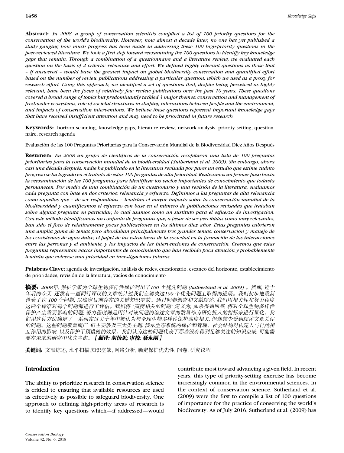**Abstract:** *In 2008, a group of conservation scientists compiled a list of 100 priority questions for the conservation of the world's biodiversity. However, now almost a decade later, no one has yet published a study gauging how much progress has been made in addressing these 100 high-priority questions in the peer-reviewed literature. We took a first step toward reexamining the 100 questions to identify key knowledge gaps that remain. Through a combination of a questionnaire and a literature review, we evaluated each question on the basis of 2 criteria: relevance and effort. We defined highly relevant questions as those that – if answered – would have the greatest impact on global biodiversity conservation and quantified effort based on the number of review publications addressing a particular question, which we used as a proxy for research effort. Using this approach, we identified a set of questions that, despite being perceived as highly relevant, have been the focus of relatively few review publications over the past 10 years. These questions covered a broad range of topics but predominantly tackled 3 major themes: conservation and management of freshwater ecosystems, role of societal structures in shaping interactions between people and the environment, and impacts of conservation interventions. We believe these questions represent important knowledge gaps that have received insufficient attention and may need to be prioritized in future research.*

**Keywords:** horizon scanning, knowledge gaps, literature review, network analysis, priority setting, questionnaire, research agenda

Evaluación de las 100 Preguntas Prioritarias para la Conservación Mundial de la Biodiversidad Diez Años Después

**Resumen:** *En 2008 un grupo de cient´ıficos de la conservacion recopilaron una lista de 100 preguntas ´ prioritarias para la conservacion mundial de la biodiversidad (Sutherland et al. 2009). Sin embargo, ahora ´ casi una d´ecada despu´es, nadie ha publicado en la literatura revisada por pares un estudio que estime cuanto ´ progreso se ha logrado en el tratado de estas 100 preguntas de alta prioridad. Realizamos un primer paso hacia la reexaminacion de las 100 preguntas para identificar los vac ´ ´ıos importantes de conocimiento que todav´ıa permanecen. Por medio de una combinacion de un cuestionario y una revisi ´ on de la literatura, evaluamos ´ cada pregunta con base en dos criterios: relevancia y esfuerzo. Definimos a las preguntas de alta relevancia como aquellas que – de ser respondidas – tendr´ıan el mayor impacto sobre la conservacion mundial de la ´ biodiversidad y cuantificamos el esfuerzo con base en el numero de publicaciones revisadas que trataban ´ sobre alguna pregunta en particular, lo cual usamos como un sustituto para el esfuerzo de investigacion. ´ Con este m´etodo identificamos un conjunto de preguntas que, a pesar de ser percibidas como muy relevantes, han sido el foco de relativamente pocas publicaciones en los ultimos diez a ´ nos. Estas preguntas cubrieron ˜ una amplia gama de temas pero abordaban principalmente tres grandes temas: conservacion y manejo de ´ los ecosistemas de agua dulce, el papel de las estructuras de la sociedad en la formacion de las interacciones ´ entre las personas y el ambiente, y los impactos de las intervenciones de conservacion. Creemos que estas ´ preguntas representan vac´ıos importantes de conocimiento que han recibido poca atencion y probablemente ´ tendran que volverse una prioridad en investigaciones futuras. ´*

Palabras Clave: agenda de investigación, análisis de redes, cuestionario, escaneo del horizonte, establecimiento de prioridades, revisión de la literatura, vacíos de conocimiento

**摘要:** 2008年, 保护学家为全球生物多样性保护列出了100 个优先问题 (Sutberland et al. 2009) 。然而, 近十 年后的今天,还没有一篇同行评议的文章统计过我们在解决这100 个优先问题上取得的进展。我们初步地重新 检验了这 100 个问题, 以确定目前存在的关键知识空缺。通过问卷调查和文献综述, 我们用相关性和努力程度 这两个标准对每个问题都进行了评估。我们将 "高度相关的问题" 定义为, 如果得到回答, 将对全球生物多样性 保护产生重要影响的问题; 努力程度则是用针对该问题的综述文章的数量作为研究投入的指标来进行量化。我 们用这种方法确定了一系列在过去十年中被认为与全球生物多样性保护高度相关, 但却较少受到综述文章关注 *的问题。这些问题覆盖面广, 但主要涉及三大类主题: 淡水生态系统的保护和管理、社会结构对构建人与自然相* 互作用的影响, 以及保护干预措施的效果。我们认为这些问题代表了那些没有得到足够关注的知识空缺, 可能需 要在未来的研究中优先考虑。 【翻译: **胡怡思; 审校: 聂永刚** 】

关键词: 文献综述, 水平扫描,知识空缺, 网络分析, 确定保护优先性, 问卷, 研究议程

# **Introduction**

The ability to prioritize research in conservation science is critical to ensuring that available resources are used as effectively as possible to safeguard biodiversity. One approach to defining high-priority areas of research is to identify key questions which—if addressed—would contribute most toward advancing a given field. In recent years, this type of priority-setting exercise has become increasingly common in the environmental sciences. In the context of conservation science, Sutherland et al. (2009) were the first to compile a list of 100 questions of importance for the practice of conserving the world's biodiversity. As of July 2016, Sutherland et al. (2009) has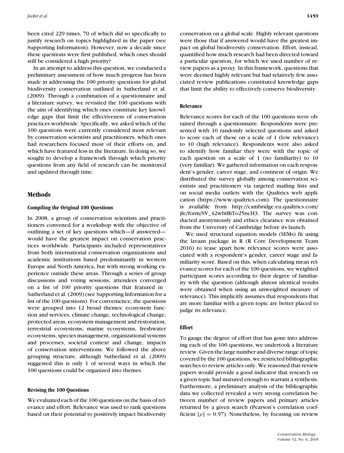been cited 229 times, 70 of which did so specifically to justify research on topics highlighted in the paper (see Supporting Information). However, now a decade since these questions were first published, which ones should still be considered a high priority?

In an attempt to address this question, we conducted a preliminary assessment of how much progress has been made in addressing the 100 priority questions for global biodiversity conservation outlined in Sutherland et al. (2009). Through a combination of a questionnaire and a literature survey, we revisited the 100 questions with the aim of identifying which ones constitute key knowledge gaps that limit the effectiveness of conservation practices worldwide. Specifically, we asked which of the 100 questions were currently considered most relevant by conservation scientists and practitioners, which ones had researchers focused most of their efforts on, and which have featured less in the literature. In doing so, we sought to develop a framework through which priority questions from any field of research can be monitored and updated through time.

# **Methods**

#### **Compiling the Original 100 Questions**

In 2008, a group of conservation scientists and practitioners convened for a workshop with the objective of outlining a set of key questions which—if answered would have the greatest impact on conservation practices worldwide. Participants included representatives from both international conservation organizations and academic institutions based predominantly in western Europe and North America, but with strong working experience outside these areas. Through a series of group discussions and voting sessions, attendees converged on a list of 100 priority questions that featured in Sutherland et al. (2009) (see Supporting Information for a list of the 100 questions). For convenience, the questions were grouped into 12 broad themes: ecosystem function and services, climate change, technological change, protected areas, ecosystem management and restoration, terrestrial ecosystems, marine ecosystems, freshwater ecosystems, species management, organizational systems and processes, societal context and change, impacts of conservation interventions. We followed the above grouping structure, although Sutherland et al. (2009) suggested this is only 1 of several ways in which the 100 questions could be organized into themes.

# **Revising the 100 Questions**

We evaluated each of the 100 questions on the basis of relevance and effort. Relevance was used to rank questions based on their potential to positively impact biodiversity conservation on a global scale. Highly relevant questions were those that if answered would have the greatest impact on global biodiversity conservation. Effort, instead, quantified how much research had been directed toward a particular question, for which we used number of review papers as a proxy. In this framework, questions that were deemed highly relevant but had relatively few associated review publications constituted knowledge gaps that limit the ability to effectively conserve biodiversity.

## **Relevance**

Relevance scores for each of the 100 questions were obtained through a questionnaire. Respondents were presented with 10 randomly selected questions and asked to score each of these on a scale of 1 (low relevance) to 10 (high relevance). Respondents were also asked to identify how familiar they were with the topic of each question on a scale of 1 (no familiarity) to 10 (very familiar). We gathered information on each respondent's gender, career stage, and continent of origin. We distributed the survey globally among conservation scientists and practitioners via targeted mailing lists and on social media outlets with the Qualtrics web application [\(https://www.qualtrics.com\)](https://www.qualtrics.com). The questionnaire is available from [http://cambridge.eu.qualtrics.com/](http://cambridge.eu.qualtrics.com/jfe/form/SV_42wbtBiTo25ncH3) [jfe/form/SV\\_42wbtBiTo25ncH3.](http://cambridge.eu.qualtrics.com/jfe/form/SV_42wbtBiTo25ncH3) The survey was conducted anonymously and ethics clearance was obtained from the University of Cambridge before its launch.

We used structural equation models (SEMs) fit using the lavaan package in R (R Core Development Team 2016) to tease apart how relevance scores were associated with a respondent's gender, career stage and familiarity score. Based on this, when calculating mean relevance scores for each of the 100 questions, we weighted participant scores according to their degree of familiarity with the question (although almost identical results were obtained when using an unweighted measure of relevance). This implicitly assumes that respondents that are more familiar with a given topic are better placed to judge its relevance.

# **Effort**

To gauge the degree of effort that has gone into addressing each of the 100 questions, we undertook a literature review. Given the large number and diverse range of topic covered by the 100 questions, we restricted bibliographic searches to review articles only. We reasoned that review papers would provide a good indicator that research on a given topic had matured enough to warrant a synthesis. Furthermore, a preliminary analysis of the bibliographic data we collected revealed a very strong correlation between number of review papers and primary articles returned by a given search (Pearson's correlation coefficient  $[\rho] = 0.97$ ). Nonetheless, by focusing on review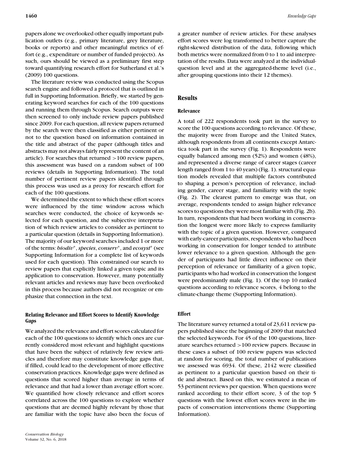papers alone we overlooked other equally important publication outlets (e.g., primary literature, grey literature, books or reports) and other meaningful metrics of effort (e.g., expenditure or number of funded projects). As such, ours should be viewed as a preliminary first step toward quantifying research effort for Sutherland et al.'s (2009) 100 questions.

The literature review was conducted using the Scopus search engine and followed a protocol that is outlined in full in Supporting Information. Briefly, we started by generating keyword searches for each of the 100 questions and running them through Scopus. Search outputs were then screened to only include review papers published since 2009. For each question, all review papers returned by the search were then classified as either pertinent or not to the question based on information contained in the title and abstract of the paper (although titles and abstracts may not always fairly represent the content of an article). For searches that returned >100 review papers, this assessment was based on a random subset of 100 reviews (details in Supporting Information). The total number of pertinent review papers identified through this process was used as a proxy for research effort for each of the 100 questions.

We determined the extent to which these effort scores were influenced by the time window across which searches were conducted, the choice of keywords selected for each question, and the subjective interpretation of which review articles to consider as pertinent to a particular question (details in Supporting Information). The majority of our keyword searches included 1 or more of the terms: *biodiv*∗, *species*, *conserv*∗, and *ecosyst*<sup>∗</sup> (see Supporting Information for a complete list of keywords used for each question). This constrained our search to review papers that explicitly linked a given topic and its application to conservation. However, many potentially relevant articles and reviews may have been overlooked in this process because authors did not recognize or emphasize that connection in the text.

# **Relating Relevance and Effort Scores to Identify Knowledge Gaps**

We analyzed the relevance and effort scores calculated for each of the 100 questions to identify which ones are currently considered most relevant and highlight questions that have been the subject of relatively few review articles and therefore may constitute knowledge gaps that, if filled, could lead to the development of more effective conservation practices. Knowledge gaps were defined as questions that scored higher than average in terms of relevance and that had a lower than average effort score. We quantified how closely relevance and effort scores correlated across the 100 questions to explore whether questions that are deemed highly relevant by those that are familiar with the topic have also been the focus of a greater number of review articles. For these analyses effort scores were log transformed to better capture the right-skewed distribution of the data, following which both metrics were normalized from 0 to 1 to aid interpretation of the results. Data were analyzed at the individualquestion level and at the aggregated-theme level (i.e., after grouping questions into their 12 themes).

# **Results**

# **Relevance**

A total of 222 respondents took part in the survey to score the 100 questions according to relevance. Of these, the majority were from Europe and the United States, although respondents from all continents except Antarctica took part in the survey (Fig. 1). Respondents were equally balanced among men (52%) and women (48%), and represented a diverse range of career stages (career length ranged from 1 to 40 years) (Fig. 1). structural equation models revealed that multiple factors contributed to shaping a person's perception of relevance, including gender, career stage, and familiarity with the topic (Fig. 2). The clearest pattern to emerge was that, on average, respondents tended to assign higher relevance scores to questions they were most familiar with (Fig. 2b). In turn, respondents that had been working in conservation the longest were more likely to express familiarity with the topic of a given question. However, compared with early-career participants, respondents who had been working in conservation for longer tended to attribute lower relevance to a given question. Although the gender of participants had little direct influence on their perception of relevance or familiarity of a given topic, participants who had worked in conservation the longest were predominantly male (Fig. 1). Of the top 10 ranked questions according to relevance scores, 4 belong to the climate-change theme (Supporting Information).

# **Effort**

The literature survey returned a total of 23,611 review papers published since the beginning of 2009 that matched the selected keywords. For 45 of the 100 questions, literature searches returned >100 review papers. Because in these cases a subset of 100 review papers was selected at random for scoring, the total number of publications we assessed was 6934. Of these, 2142 were classified as pertinent to a particular question based on their title and abstract. Based on this, we estimated a mean of 53 pertinent reviews per question. When questions were ranked according to their effort score, 3 of the top 5 questions with the lowest effort scores were in the impacts of conservation interventions theme (Supporting Information).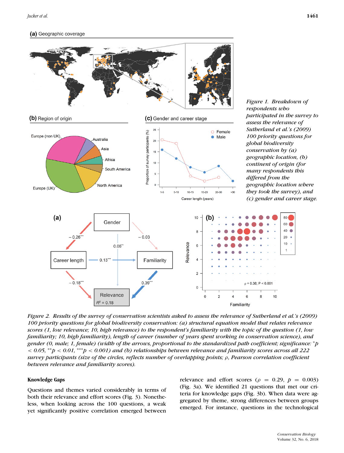## (a) Geographic coverage



*Figure 2. Results of the survey of conservation scientists asked to assess the relevance of Sutherland et al.'s (2009) 100 priority questions for global biodiversity conservation: (a) structural equation model that relates relevance scores (1, low relevance; 10, high relevance) to the respondent's familiarity with the topic of the question (1, low familiarity; 10, high familiarity), length of career (number of years spent working in conservation science), and gender (0, male; 1, female) (width of the arrows, proportional to the standardized path coefficient; significance:* <sup>∗</sup>*p* < *0.05,* ∗∗*p* < *0.01,* ∗∗∗*p* < *0.001) and (b) relationships between relevance and familiarity scores across all 222 survey participants (size of the circles, reflects number of overlapping points;* ρ*, Pearson correlation coefficient between relevance and familiarity scores).*

### **Knowledge Gaps**

Questions and themes varied considerably in terms of both their relevance and effort scores (Fig. 3). Nonetheless, when looking across the 100 questions, a weak yet significantly positive correlation emerged between relevance and effort scores ( $\rho = 0.29$ ,  $p = 0.003$ ) (Fig. 3a). We identified 21 questions that met our criteria for knowledge gaps (Fig. 3b). When data were aggregated by theme, strong differences between groups emerged. For instance, questions in the technological

 $80<sup>′</sup>$ 

60  $40^\circ$ 

 $20 10$ 

 $\overline{1}$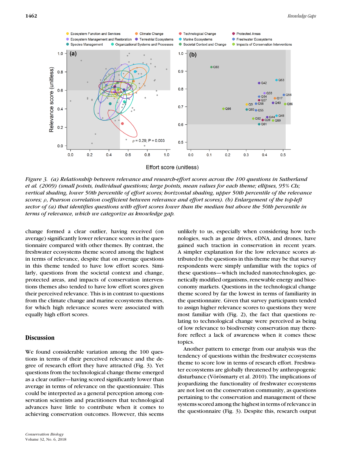

*Figure 3. (a) Relationship between relevance and research-effort scores across the 100 questions in Sutherland et al. (2009) (small points, individual questions; large points, mean values for each theme; ellipses, 95% CIs; vertical shading, lower 50th percentile of effort scores; horizontal shading, upper 50th percentile of the relevance scores;* ρ*, Pearson correlation coefficient between relevance and effort scores). (b) Enlargement of the top-left sector of (a) that identifies questions with effort scores lower than the median but above the 50th percentile in terms of relevance, which we categorize as knowledge gap.*

change formed a clear outlier, having received (on average) significantly lower relevance scores in the questionnaire compared with other themes. By contrast, the freshwater ecosystems theme scored among the highest in terms of relevance, despite that on average questions in this theme tended to have low effort scores. Similarly, questions from the societal context and change, protected areas, and impacts of conservation interventions themes also tended to have low effort scores given their perceived relevance. This is in contrast to questions from the climate change and marine ecosystems themes, for which high relevance scores were associated with equally high effort scores.

# **Discussion**

We found considerable variation among the 100 questions in terms of their perceived relevance and the degree of research effort they have attracted (Fig. 3). Yet questions from the technological change theme emerged as a clear outlier—having scored significantly lower than average in terms of relevance on the questionnaire. This could be interpreted as a general perception among conservation scientists and practitioners that technological advances have little to contribute when it comes to achieving conservation outcomes. However, this seems

unlikely to us, especially when considering how technologies, such as gene drives, eDNA, and drones, have gained such traction in conservation in recent years. A simpler explanation for the low relevance scores attributed to the questions in this theme may be that survey respondents were simply unfamiliar with the topics of these questions—which included nanotechnologies, genetically modified organisms, renewable energy and bioeconomy markets. Questions in the technological change theme scored by far the lowest in terms of familiarity in the questionnaire. Given that survey participants tended to assign higher relevance scores to questions they were most familiar with (Fig. 2), the fact that questions relating to technological change were perceived as being of low relevance to biodiversity conservation may therefore reflect a lack of awareness when it comes these topics.

Another pattern to emerge from our analysis was the tendency of questions within the freshwater ecosystems theme to score low in terms of research effort. Freshwater ecosystems are globally threatened by anthropogenic disturbance (Vörösmarty et al. 2010). The implications of jeopardizing the functionality of freshwater ecosystems are not lost on the conservation community, as questions pertaining to the conservation and management of these systems scored among the highest in terms of relevance in the questionnaire (Fig. 3). Despite this, research output